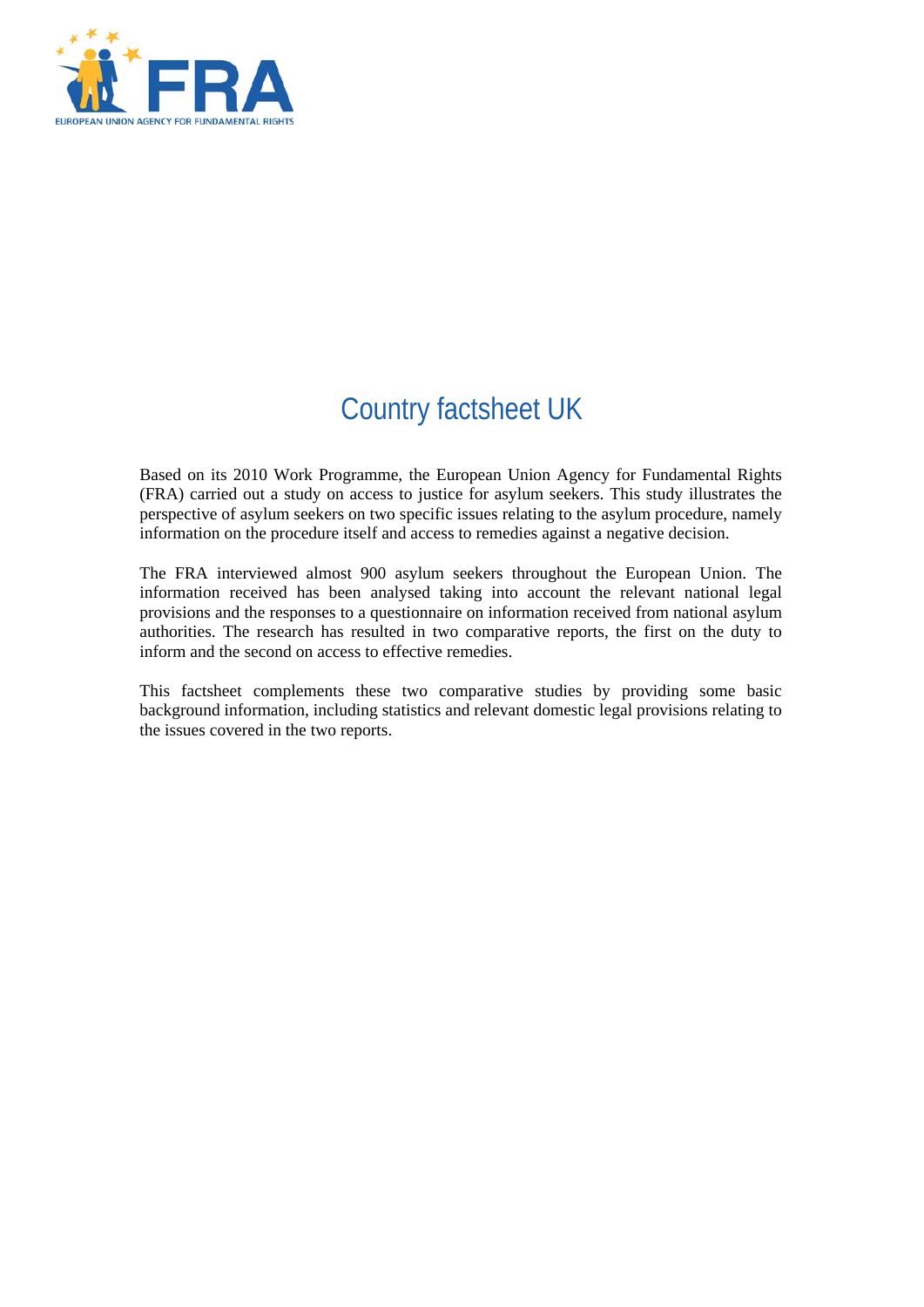

# Country factsheet UK

Based on its 2010 Work Programme, the European Union Agency for Fundamental Rights (FRA) carried out a study on access to justice for asylum seekers. This study illustrates the perspective of asylum seekers on two specific issues relating to the asylum procedure, namely information on the procedure itself and access to remedies against a negative decision.

The FRA interviewed almost 900 asylum seekers throughout the European Union. The information received has been analysed taking into account the relevant national legal provisions and the responses to a questionnaire on information received from national asylum authorities. The research has resulted in two comparative reports, the first on the duty to inform and the second on access to effective remedies.

This factsheet complements these two comparative studies by providing some basic background information, including statistics and relevant domestic legal provisions relating to the issues covered in the two reports.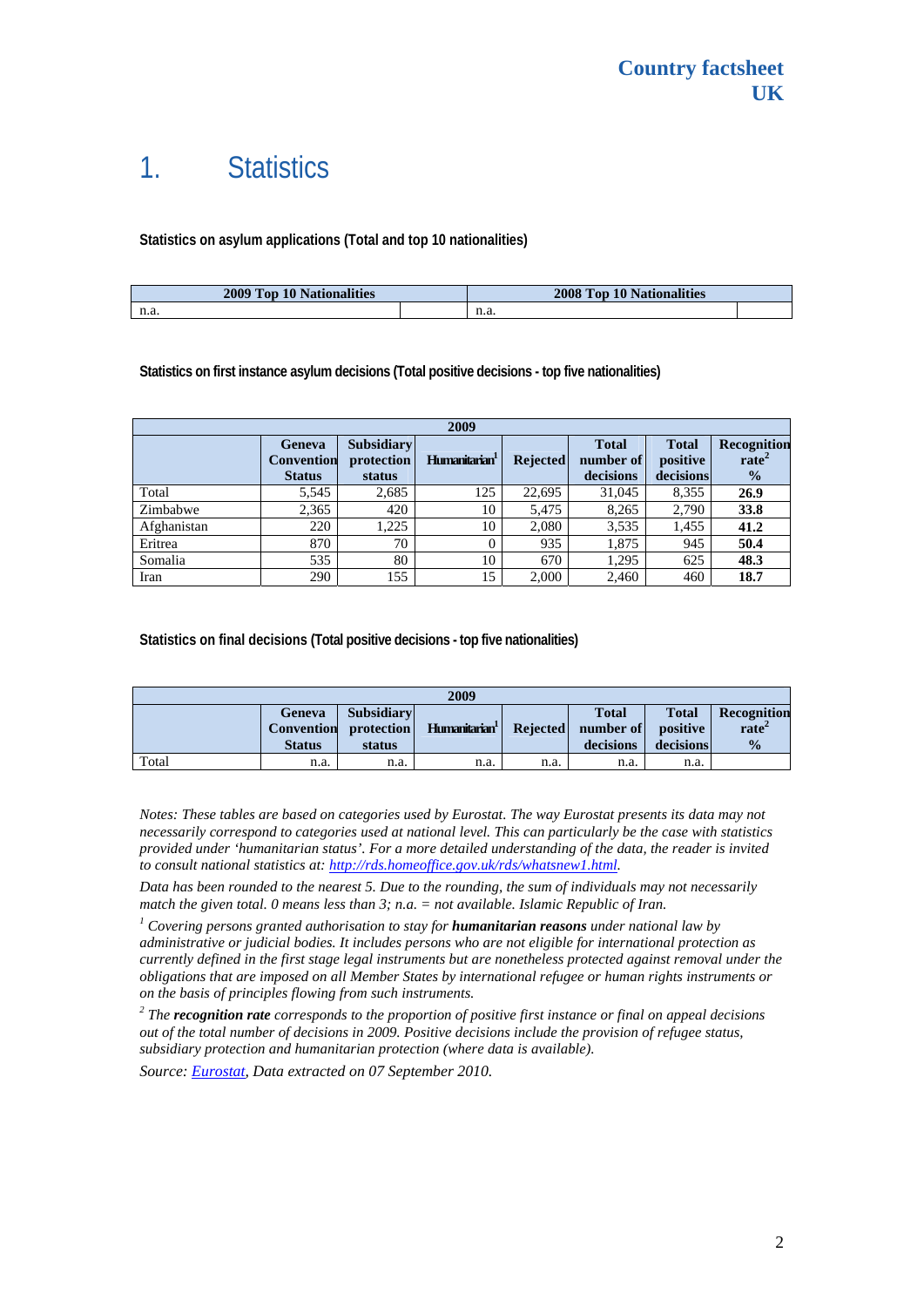## 1. Statistics

### **Statistics on asylum applications (Total and top 10 nationalities)**

| 2009 Top 10 Nationalities | 2008 Top 10 Nationalities |      |  |
|---------------------------|---------------------------|------|--|
| n.a.                      |                           | н.а. |  |

#### **Statistics on first instance asylum decisions (Total positive decisions - top five nationalities)**

| 2009        |                                                     |                                           |                           |                 |                                        |                                       |                                                   |
|-------------|-----------------------------------------------------|-------------------------------------------|---------------------------|-----------------|----------------------------------------|---------------------------------------|---------------------------------------------------|
|             | <b>Geneva</b><br><b>Convention</b><br><b>Status</b> | <b>Subsidiary</b><br>protection<br>status | Humanitarian <sup>1</sup> | <b>Rejected</b> | <b>Total</b><br>number of<br>decisions | <b>Total</b><br>positive<br>decisions | Recognition<br>rate <sup>2</sup><br>$\frac{6}{9}$ |
| Total       | 5,545                                               | 2,685                                     | 125                       | 22,695          | 31,045                                 | 8,355                                 | 26.9                                              |
| Zimbabwe    | 2,365                                               | 420                                       | 10                        | 5.475           | 8,265                                  | 2,790                                 | 33.8                                              |
| Afghanistan | 220                                                 | 1.225                                     | 10                        | 2,080           | 3,535                                  | 1,455                                 | 41.2                                              |
| Eritrea     | 870                                                 | 70                                        |                           | 935             | 1,875                                  | 945                                   | 50.4                                              |
| Somalia     | 535                                                 | 80                                        | 10                        | 670             | 1,295                                  | 625                                   | 48.3                                              |
| Iran        | 290                                                 | 155                                       | 15                        | 2,000           | 2,460                                  | 460                                   | 18.7                                              |

#### **Statistics on final decisions (Total positive decisions - top five nationalities)**

| 2009  |                                              |                                           |                           |          |                                        |                                       |                                                          |
|-------|----------------------------------------------|-------------------------------------------|---------------------------|----------|----------------------------------------|---------------------------------------|----------------------------------------------------------|
|       | Geneva<br><b>Convention</b><br><b>Status</b> | <b>Subsidiary</b><br>protection<br>status | Humanitarian <sup>1</sup> | Rejected | <b>Total</b><br>number of<br>decisions | <b>Total</b><br>positive<br>decisions | <b>Recognition</b><br>rate <sup>2</sup><br>$\frac{0}{0}$ |
| Total | n.a.                                         | n.a.                                      | n.a.                      | n.a.     | n.a.                                   | n.a.                                  |                                                          |

*Notes: These tables are based on categories used by Eurostat. The way Eurostat presents its data may not necessarily correspond to categories used at national level. This can particularly be the case with statistics provided under 'humanitarian status'. For a more detailed understanding of the data, the reader is invited to consult national statistics at: [http://rds.homeoffice.gov.uk/rds/whatsnew1.html.](http://rds.homeoffice.gov.uk/rds/whatsnew1.html)* 

*Data has been rounded to the nearest 5. Due to the rounding, the sum of individuals may not necessarily match the given total. 0 means less than 3; n.a.* = *not available. Islamic Republic of Iran.* 

 *Covering persons granted authorisation to stay for humanitarian reasons under national law by administrative or judicial bodies. It includes persons who are not eligible for international protection as currently defined in the first stage legal instruments but are nonetheless protected against removal under the obligations that are imposed on all Member States by international refugee or human rights instruments or on the basis of principles flowing from such instruments.* 

*2 The recognition rate corresponds to the proportion of positive first instance or final on appeal decisions out of the total number of decisions in 2009. Positive decisions include the provision of refugee status, subsidiary protection and humanitarian protection (where data is available).* 

*Source: [Eurostat](http://epp.eurostat.ec.europa.eu/), Data extracted on 07 September 2010.*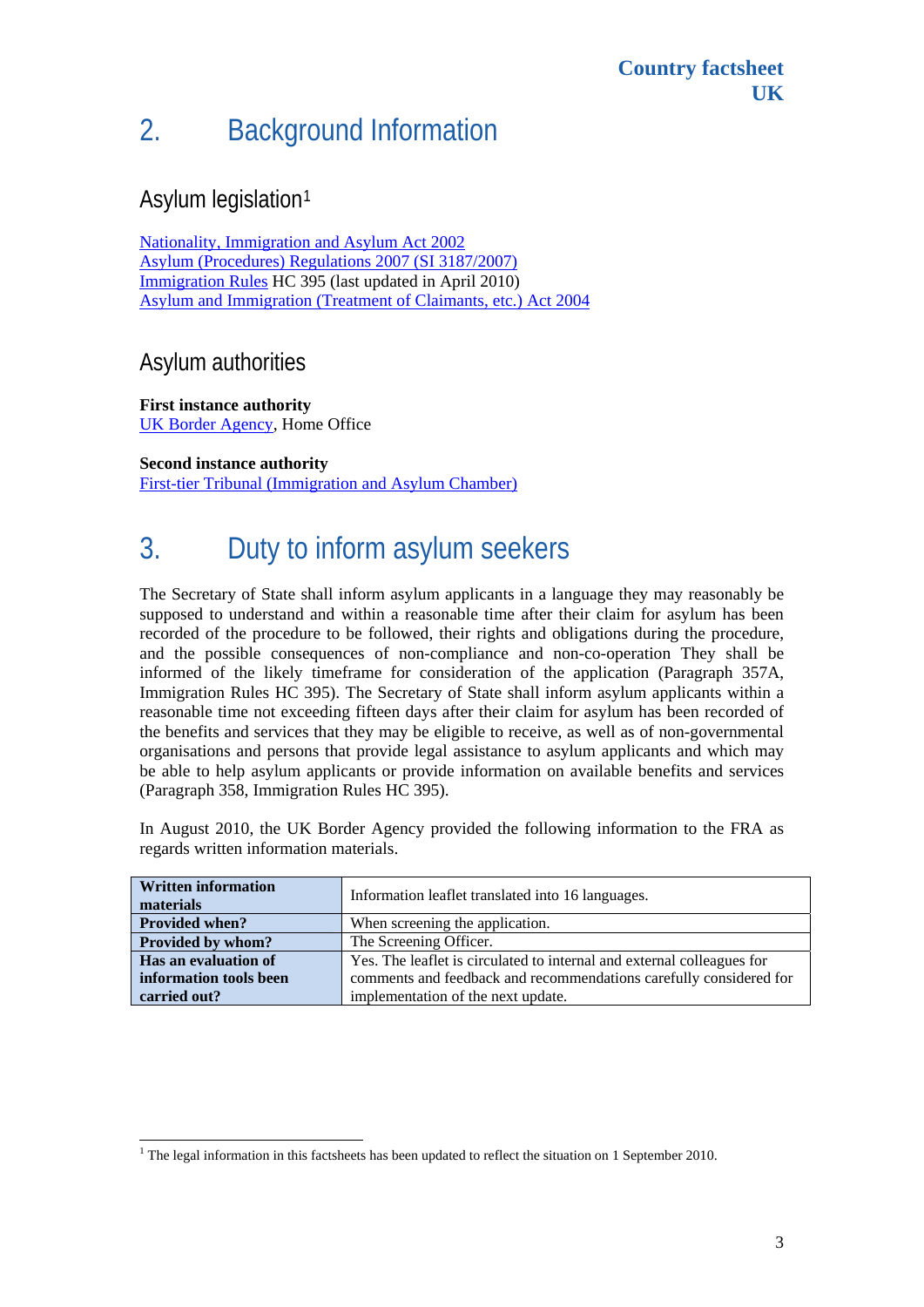# 2. Background Information

### Asylum legislation[1](#page-2-0)

[Nationality, Immigration and Asylum Act 2002](http://www.opsi.gov.uk/acts/acts2002/ukpga_20020041_en_1)  [Asylum \(Procedures\) Regulations 2007 \(SI 3187/2007\)](http://www.opsi.gov.uk/si/si2007/uksi_20073187_en_1) [Immigration Rules](http://www.ind.homeoffice.gov.uk/policyandlaw/immigrationlaw/immigrationrules/) HC 395 (last updated in April 2010) [Asylum and Immigration \(Treatment of Claimants, etc.\) Act 2004](http://www.opsi.gov.uk/acts/acts2004/ukpga_20040019_en_1)

### Asylum authorities

**First instance authority**  [UK Border Agency](http://www.ukba.homeoffice.gov.uk/), Home Office

**Second instance authority**  [First-tier Tribunal \(Immigration and Asylum Chamber\)](http://www.tribunals.gov.uk/ImmigrationAsylum/)

# 3. Duty to inform asylum seekers

The Secretary of State shall inform asylum applicants in a language they may reasonably be supposed to understand and within a reasonable time after their claim for asylum has been recorded of the procedure to be followed, their rights and obligations during the procedure, and the possible consequences of non-compliance and non-co-operation They shall be informed of the likely timeframe for consideration of the application (Paragraph 357A, Immigration Rules HC 395). The Secretary of State shall inform asylum applicants within a reasonable time not exceeding fifteen days after their claim for asylum has been recorded of the benefits and services that they may be eligible to receive, as well as of non-governmental organisations and persons that provide legal assistance to asylum applicants and which may be able to help asylum applicants or provide information on available benefits and services (Paragraph 358, Immigration Rules HC 395).

In August 2010, the UK Border Agency provided the following information to the FRA as regards written information materials.

| <b>Written information</b><br>materials | Information leaflet translated into 16 languages.                      |  |  |  |
|-----------------------------------------|------------------------------------------------------------------------|--|--|--|
| <b>Provided when?</b>                   | When screening the application.                                        |  |  |  |
| Provided by whom?                       | The Screening Officer.                                                 |  |  |  |
| Has an evaluation of                    | Yes. The leaflet is circulated to internal and external colleagues for |  |  |  |
| information tools been                  | comments and feedback and recommendations carefully considered for     |  |  |  |
| carried out?                            | implementation of the next update.                                     |  |  |  |

<span id="page-2-0"></span>The legal information in this factsheets has been updated to reflect the situation on 1 September 2010.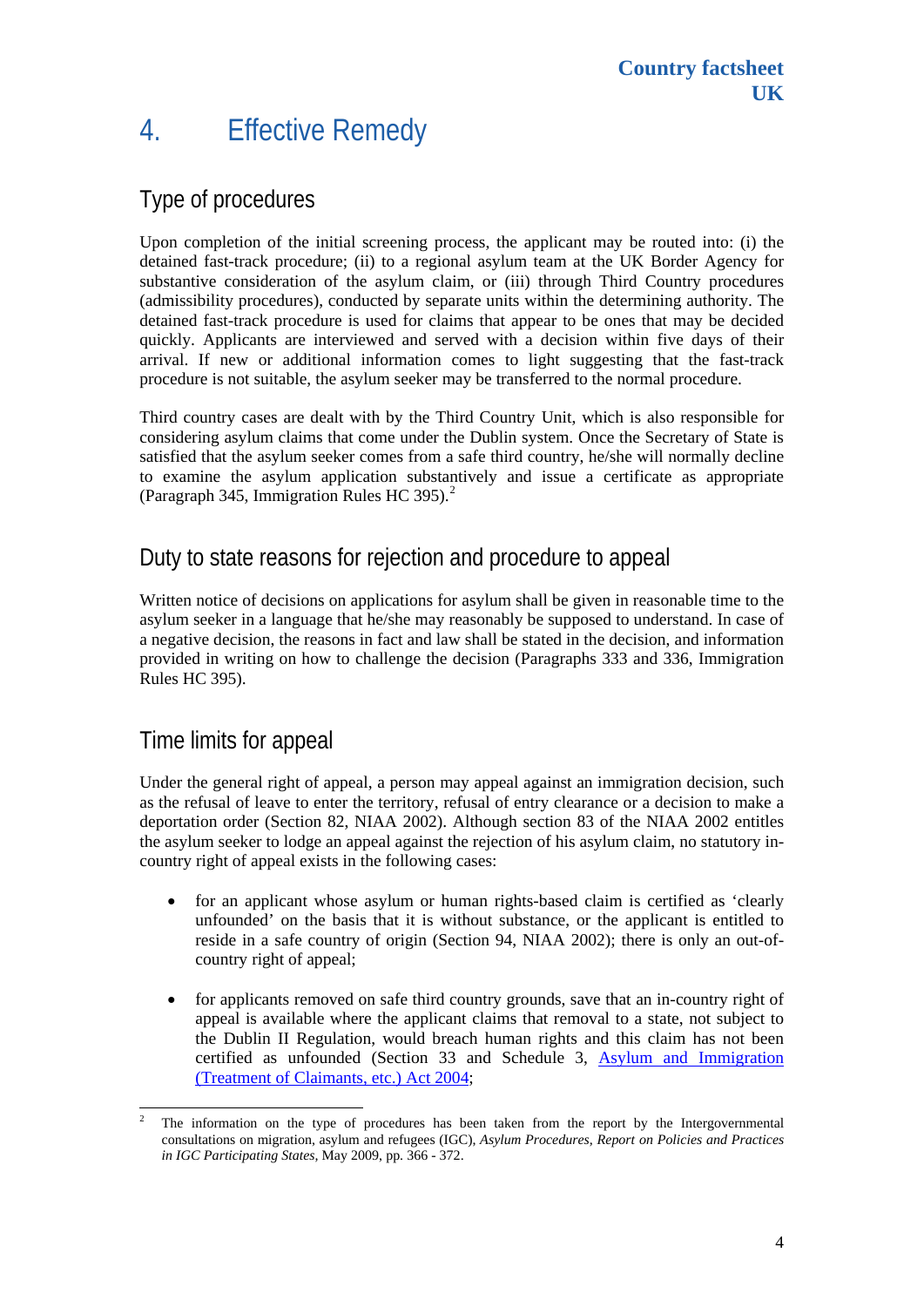## 4. Effective Remedy

## Type of procedures

Upon completion of the initial screening process, the applicant may be routed into: (i) the detained fast-track procedure; (ii) to a regional asylum team at the UK Border Agency for substantive consideration of the asylum claim, or (iii) through Third Country procedures (admissibility procedures), conducted by separate units within the determining authority. The detained fast-track procedure is used for claims that appear to be ones that may be decided quickly. Applicants are interviewed and served with a decision within five days of their arrival. If new or additional information comes to light suggesting that the fast-track procedure is not suitable, the asylum seeker may be transferred to the normal procedure.

Third country cases are dealt with by the Third Country Unit, which is also responsible for considering asylum claims that come under the Dublin system. Once the Secretary of State is satisfied that the asylum seeker comes from a safe third country, he/she will normally decline to examine the asylum application substantively and issue a certificate as appropriate (Paragraph 345, Immigration Rules HC 395).<sup>[2](#page-3-0)</sup>

### Duty to state reasons for rejection and procedure to appeal

Written notice of decisions on applications for asylum shall be given in reasonable time to the asylum seeker in a language that he/she may reasonably be supposed to understand. In case of a negative decision, the reasons in fact and law shall be stated in the decision, and information provided in writing on how to challenge the decision (Paragraphs 333 and 336, Immigration Rules HC 395).

### Time limits for appeal

Under the general right of appeal, a person may appeal against an immigration decision, such as the refusal of leave to enter the territory, refusal of entry clearance or a decision to make a deportation order (Section 82, NIAA 2002). Although section 83 of the NIAA 2002 entitles the asylum seeker to lodge an appeal against the rejection of his asylum claim, no statutory incountry right of appeal exists in the following cases:

- for an applicant whose asylum or human rights-based claim is certified as 'clearly unfounded' on the basis that it is without substance, or the applicant is entitled to reside in a safe country of origin (Section 94, NIAA 2002); there is only an out-ofcountry right of appeal;
- for applicants removed on safe third country grounds, save that an in-country right of appeal is available where the applicant claims that removal to a state, not subject to the Dublin II Regulation, would breach human rights and this claim has not been certified as unfounded (Section 33 and Schedule 3, [Asylum and Immigration](http://www.opsi.gov.uk/acts/acts2004/ukpga_20040019_en_1)  [\(Treatment of Claimants, etc.\) Act 2004](http://www.opsi.gov.uk/acts/acts2004/ukpga_20040019_en_1);

<span id="page-3-0"></span> $\frac{1}{2}$  The information on the type of procedures has been taken from the report by the Intergovernmental consultations on migration, asylum and refugees (IGC), *Asylum Procedures, Report on Policies and Practices in IGC Participating States,* May 2009, pp. 366 - 372.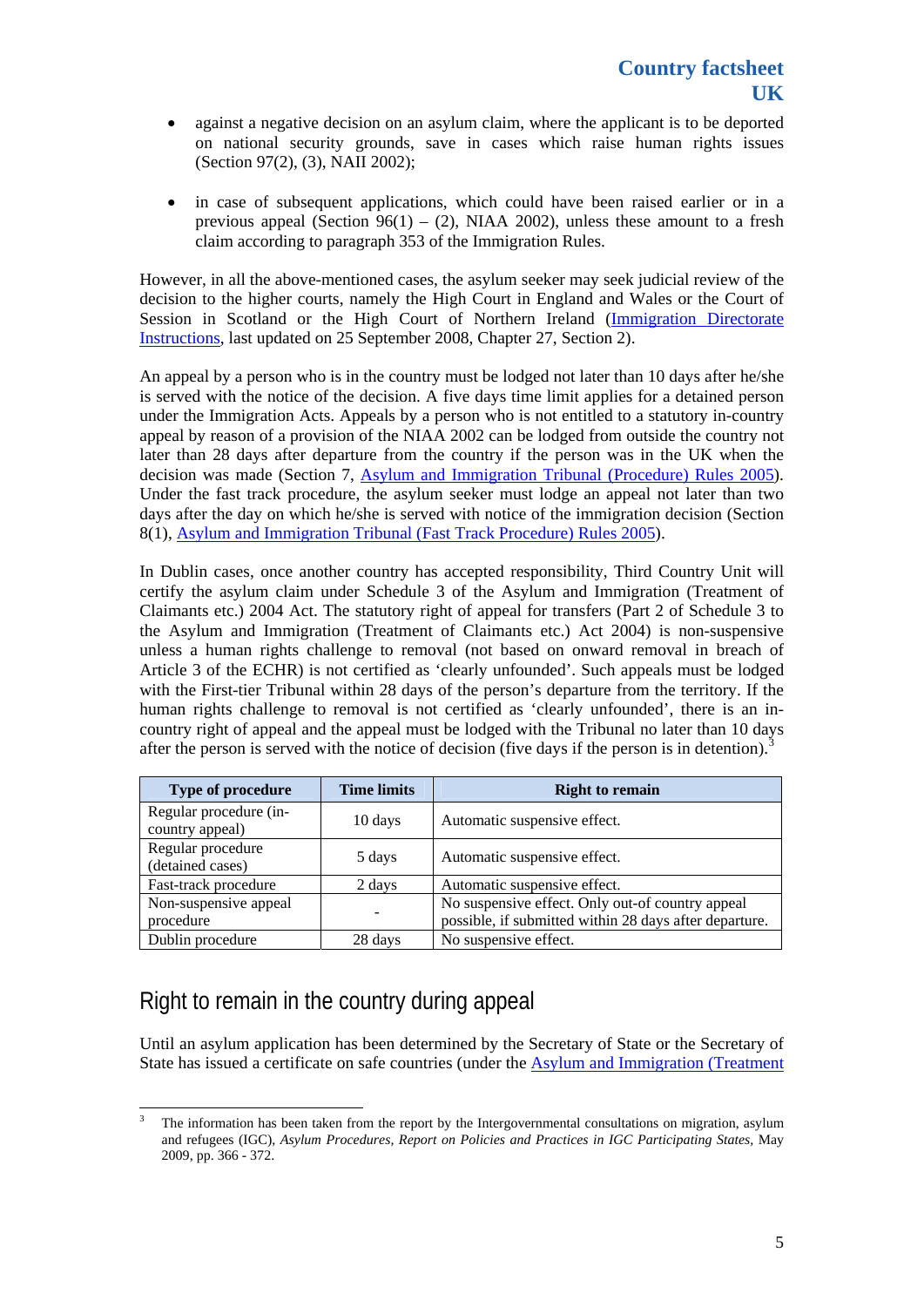- against a negative decision on an asylum claim, where the applicant is to be deported on national security grounds, save in cases which raise human rights issues (Section 97(2), (3), NAII 2002);
- in case of subsequent applications, which could have been raised earlier or in a previous appeal (Section 96(1) – (2), NIAA 2002), unless these amount to a fresh claim according to paragraph 353 of the Immigration Rules.

However, in all the above-mentioned cases, the asylum seeker may seek judicial review of the decision to the higher courts, namely the High Court in England and Wales or the Court of Session in Scotland or the High Court of Northern Ireland ([Immigration Directorate](http://www.ukba.homeoffice.gov.uk/sitecontent/documents/policyandlaw/IDIs/idischapter27/)  [Instructions,](http://www.ukba.homeoffice.gov.uk/sitecontent/documents/policyandlaw/IDIs/idischapter27/) last updated on 25 September 2008, Chapter 27, Section 2).

An appeal by a person who is in the country must be lodged not later than 10 days after he/she is served with the notice of the decision. A five days time limit applies for a detained person under the Immigration Acts. Appeals by a person who is not entitled to a statutory in-country appeal by reason of a provision of the NIAA 2002 can be lodged from outside the country not later than 28 days after departure from the country if the person was in the UK when the decision was made (Section 7, [Asylum and Immigration Tribunal \(Procedure\) Rules 2005\)](http://www.tribunals.gov.uk/Tribunals/Documents/Rules/ConsolidatedAsylumandImmigrationProcedureRules2005forFirst-tierTribunal-FINAL.pdf). Under the fast track procedure, the asylum seeker must lodge an appeal not later than two days after the day on which he/she is served with notice of the immigration decision (Section 8(1), [Asylum and Immigration Tribunal \(Fast Track Procedure\) Rules 2005](http://www.tribunals.gov.uk/Tribunals/Documents/Rules/Consolidated_AI_FastTrackRule2005.pdf)).

In Dublin cases, once another country has accepted responsibility, Third Country Unit will certify the asylum claim under Schedule 3 of the Asylum and Immigration (Treatment of Claimants etc.) 2004 Act. The statutory right of appeal for transfers (Part 2 of Schedule 3 to the Asylum and Immigration (Treatment of Claimants etc.) Act 2004) is non-suspensive unless a human rights challenge to removal (not based on onward removal in breach of Article 3 of the ECHR) is not certified as 'clearly unfounded'. Such appeals must be lodged with the First-tier Tribunal within 28 days of the person's departure from the territory. If the human rights challenge to removal is not certified as 'clearly unfounded', there is an incountry right of appeal and the appeal must be lodged with the Tribunal no later than 10 days after the person is served with the notice of decision (five days if the person is in detention).<sup>[3](#page-4-0)</sup>

| <b>Type of procedure</b>                  | <b>Time limits</b> | <b>Right to remain</b>                                                                                     |
|-------------------------------------------|--------------------|------------------------------------------------------------------------------------------------------------|
| Regular procedure (in-<br>country appeal) | 10 days            | Automatic suspensive effect.                                                                               |
| Regular procedure<br>(detained cases)     | 5 days             | Automatic suspensive effect.                                                                               |
| Fast-track procedure                      | 2 days             | Automatic suspensive effect.                                                                               |
| Non-suspensive appeal<br>procedure        |                    | No suspensive effect. Only out-of country appeal<br>possible, if submitted within 28 days after departure. |
| Dublin procedure                          | 28 days            | No suspensive effect.                                                                                      |

## Right to remain in the country during appeal

Until an asylum application has been determined by the Secretary of State or the Secretary of State has issued a certificate on safe countries (under the [Asylum and Immigration \(Treatment](http://www.opsi.gov.uk/acts/acts2004/ukpga_20040019_en_1) 

<span id="page-4-0"></span> $\frac{1}{3}$  The information has been taken from the report by the Intergovernmental consultations on migration, asylum and refugees (IGC), *Asylum Procedures, Report on Policies and Practices in IGC Participating States,* May 2009, pp. 366 - 372.